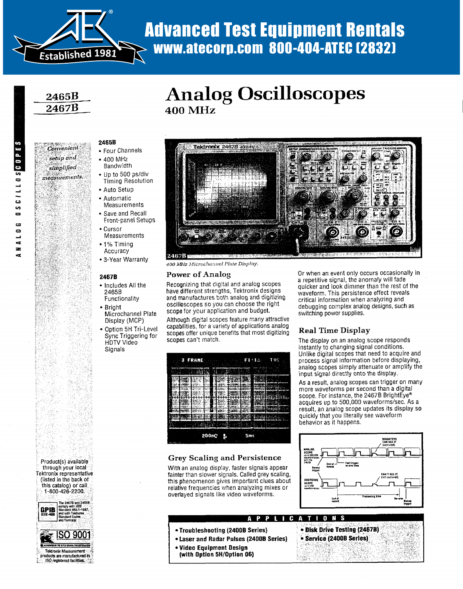

## Advanced Test Equipment Rentals 400 MHz www.atecorp.com 800-404-ATEC (2832)

**Analog Oscilloscopes** 

## 2465B 2467B

#### Convenient setup and simplified medsurements.

N.  $\mathcal{L}_{\text{eff}}$ 

## **2465B**

- Four Channels
- $-400$  MHz **Bandwidth**
- Up to 500 ps/div **Timing Resolution**
- Auto Setup
- Automatic<br>Measurements
- Save and Recall **Frant-nanel Setu**
- $•$  Curson
- Measurements<br>• 1% Timing Accuracy
- $2455$ Functionality

#### 2467B

- Microchannel Plate Display (MCP) Functionality
- Bright Microchannel Plate
- Display (MCP)
- Option 5H Tri-Level Sync Triggering for **HDTV Video** Signals



400 MHz Microchannel Plate Display.

#### oscilloscopes so you can choose the right Power of Analog

**400 MHz** 

Recognizing that digital and analog scopes<br>have different strengths, Tektronix designs and manufactures both analog and digitizing oscilloscopes so you can choose the right scope for your application and budget.

Although digital scopes feature many attractive capabilities, for a variety of applications analog scopes offer unique benefits that most digitizing scopes can't match.



With an analog display, faster signals appear fainter than slower signals. Called grey scaling, this phenomenon gives important clues about relative frequencies when analyzing mixes or overlayed signals like video waveforms.

\*Troubleshooting (2400B Series)

• Video Equipment Design (with Option 5H/Option 06)

• Laser and Radar Pulses (2400B Series)

Laser and Radar Pulses (24008 Series)

Or when an event only occurs occasionally in a repetitive signal, the anomaly will fade quicker and look dimmer than the rest of the waveform. This persistence effect reveals<br>critical information when analyzing and debugging complex analog designs, such as<br>switching power supplies. instantly to changing signal conditions .

#### Unlike digital scopes that need to acquire and process signal international behavior of  $\mathbf{p}_i$

The display on an analog scope responds instantly to changing signal conditions.<br>Unlike digital scopes that need to acquire and process signal information before displaying. analog scopes simply attenuate or amplify the input signal directly onto the display.

As a result, analog scopes can trigger on many more waveforms per second than a digital scope. For instance, the 2467B BrightEve<sup>®</sup> acquires up to 500,000 waveforms/sec. As a result, an analog scope updates its display so quickly that you literally see waveform behavior as it happens.



 $\mathcal{L}^{\mathcal{L}}$  $\tau$  ,  $\tau_{\rm m}$ 

 $\mathcal{L}$ 

- **A P P L I C A T I O N S**<br>Series) **C Disk Drive Testing (24678)** 
	- Service (24008 Series)

through your local Product(s) available through your local Fektronix representative (listed in the back of<br>this catalog) or call 1-800-426-2200.

Product(s) available



products are manufactured in ISO registered facilities, .

With an analog display, faster signals appear fairty beaming and a croistence

÷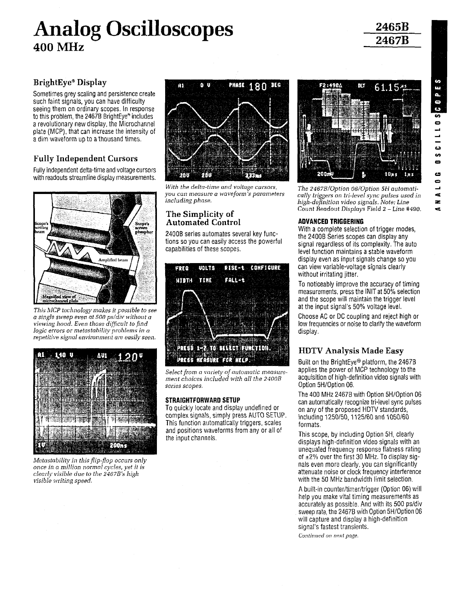## Analog Oscilloscopes 400 MHz An

## 2465B 2467B

## BrightEye<sup>®</sup> Display

Sometimes grey scaling and persistence create such faint signals, you can have difficulty seeing them on ordinary scopes . In response to this problem, the 2467B BrightEye<sup>®</sup> includes a revolutionary new display, the Microchannel plate (MCP), that can increase the intensity of a dim waveform up to a thousand times.

## Fully Independent Cursors

Fully independent delta-time and voltage cursors with readouts streamline display measurements.



This MCP technology makes it possible to see a single sweep even at 500 ps/div without a viewing hood. Even those difficult to find logic errors or metastability problems in a repetitive signal environment are easily seen,



Metastability in this flip-flop occurs only once in a million normal cycles, vet it is clearly visible due to the 2467B's high visible writing speed.



With the delta-time and voltage cursors, you can measure a waveform 's parameters including phase .

#### The Simplicity of Automated Control

24008 series automates several key functions so you can easily access the powerful capabilities of these scopes,



Select from a variety of automatic measurement choices included with all the 2400B series scopes,

#### STRAIGHTFORWARD SETUP

To quickly locate and display undefined or complex signals, simply press AUTO SETUP . This function automatically triggers, scales and positions waveforms from any or all of the input channels .



The 2467B/Option 06/Option cally triggers on tri-level sync pulses used in high-definition video signals. Note: Line Count Readout Displays Field 2 - Line #490 .

#### ADVANCED TRIGGERING

With a complete selection of trigger modes, the 2400B Series scopes can display any signal regardless of its complexity. The auto level function maintains a stable waveform display even as input signals change so you can view variable-voltage signals clearly without irritating jitter.

To noticeably improve the accuracy of timing measurements, press the INIT at 5O% selection and the scope will maintain the trigger level at the input signal's 50% voltage level.

Choose AC or DC coupling and reject high or low frequencies or noise to clarify the waveform display.

### HDTV Analysis Made Easy

Built on the BrightEye® platform, the 2467B applies the power of MCP technology to the acquisition of high-definition video signals with Option 5H/Option 06.

The 400 MHz 2467B with Option 5H/Option 06 can automatically recognize tri-level sync pulses on any of the proposed HDTV standards, including 1250150,1125150 and 1050160 formats .

This scope, by including Option 5H, clearly displays high-definition video signals with an unequaled frequency response flatness rating of  $\pm 2\%$  over the first 30 MHz. To display signals even more clearly, you can significantly attenuate noise or clock frequency interference with the 50 MHz bandwidth limit selection.

A built-in counter/timer/trigger (Option 06) will help you make vital timing measurements as accurately as possible . And with its 500 ps/div sweep rate, the 24678 with Option 5H/Option 06 will capture and display a high-definition signal's fastest transients .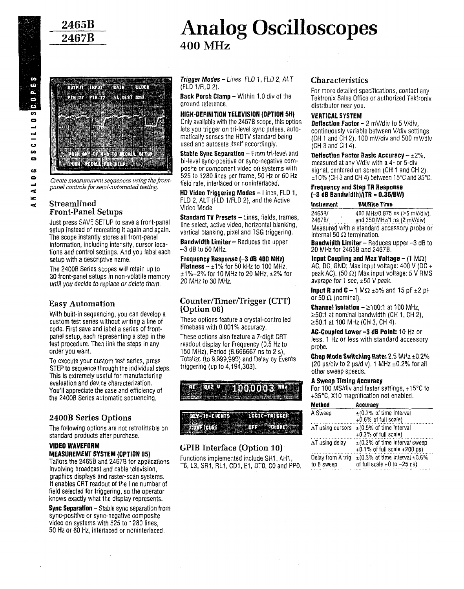

## Analog Oscilloscopes 400 MHz



Create measurement sequences using the frontpanel controls for semi-automated testing.

#### **Streamlined** Front-Panel Setups

Just press SAVE SETUP to save a front-panel setup instead of recreating it again and again . The scope instantly stores all front-panel information, including intensity, cursor locations and control settings. And you label each setup with a descriptive name.

The 24008 Series scopes will retain up to 30 front-panel setups in non-volatile memory until you decide to replace or delete them.

#### Easy Automation

With built-in sequencing, you can develop a custom test series without writing a line of code. First save and label a series of frontpanel setup, each representing a step in the test procedure. Then link the steps in any order you want.

To execute your custom test series, press STEP to sequence through the individual steps. This is extremely useful for manufacturing evaluation and device characterization. You'll appreciate the ease and efficiency of the 2400B Series automatic sequencing.

#### 2400B Series Options

The following options are not retrofittable on standard products after purchase.

#### VIDEO WAVEFORM MEASUREMENT SYSTEM (OPTION 05)

Tailors the 2465B and 2467B for applications involving broadcast and cable television, graphics displays and raster-scan systems . It enables CRT readout of the line number of field selected for triggering, so the operator knows exactly what the display represents . Fouri app<br>the 2400B<br>2400B<br>The follow<br>standard<br>involving<br>maximus involving<br>graphics of<br>tenables<br>field selec<br>knows exa<br>Sync Sepa

**Sync Separation**  $-$  Stable sync separation from sync-positive or sync-negative composite video on systems with 525 to 1280 lines, 50 Hz or 60 Hz, interlaced or noninterlaced .

Trigger Modes - Lines, FLO 1, FLU 2, ALT (FLD 1/FLD 2) .

**Back Porch Clamp - Within 1.0 div of the** ground reference .

#### HIGH-DEFINITION TELEVISION (OPTION 5H)

Only available with the 24678 scope, this option lets you trigger on tri-level sync pulses, automatically senses the HDTV standard being used and autosets itself accordingly.

Stable Sync Separation - From tri-level and bi-level sync-positive or sync-negative composite or component video on systems with 525 to 1280 lines per frame, 50 Hz or 60 Hz field rate, interlaced or noninterlaced .

HD Video Triggering Modes - Lines, FLD 1, FLD 2, ALT (FLD 1/FLD 2), and the Active Video Mode .

Standard TV Presets - Lines, fields, frames, line select, active video, horizontal blanking, vertical blanking, pixel and TSG triggering.

**Bandwidth Limiter --** Reduces the upper  $-3$  dB to 50 MHz.

Frequency Response (-3 dB 400 MHz) **Flatness -**  $\pm 1\%$  **for 50 kHz to 100 MHz,** ±1 %-2% for 10 MHz to 20 MHz, ±2% for 20 MHz to 30 MHz.

#### Counter/Timer/Trigger (CTT) (Option 06)

These options feature a crystal-controlled timebase with 0.001% accuracy.

These options also feature a 7-digit CRT readout display for Frequency (0.5 Hz to 150 MHz), Period (6 .666667 ns to 2 s), Totalize (to 9,999,999) and Delay by Events triggering (up to 4,194,303) .



#### GPIB Interface (Option 10)'

Functions implemented include SH1, AH1, T6, L3, SRI, RL1, CD1, El, DTO, CO and PPO .

#### **Characteristics**

For more detailed specifications, contact any Tektronix Sales Office or authorized Tektronix distributor near you.

#### VERTICAL SYSTEM

**Deflection Factor - 2 mV/div to 5 V/div,** continuously variable between V/div settings (CH 1 and CH 2) . 100 mV/div and 500 mV/div  $(CH 3 and CH 4)$ .

Deflection Factor Basic Accuracy  $- \pm 2\%$ . measured at any V/div with a 4- or 5-div signal, centered on screen (CH 1 and CH 2).  $\pm$ 10% (CH 3 and CH 4) between 15°C and 35°C.

#### Frequency and Step TR Response  $(-3$  dB Bandwidth)/(TR = 0.35/BW)

| $\ldots$ and all $\ldots$ and $\ldots$ is a set of $\ldots$ .<br>signal, centered on screen (CH 1 and CH 2).<br>±10% (CH 3 and CH 4) between 15°C and 35°C. |                                                              |  |  |  |  |  |
|-------------------------------------------------------------------------------------------------------------------------------------------------------------|--------------------------------------------------------------|--|--|--|--|--|
| <b>Frequency and Step TR Response</b><br>$(-3$ dB Bandwidth)/(TR = 0.35/BW)                                                                                 |                                                              |  |  |  |  |  |
| Instrument                                                                                                                                                  | <b>BW/Rise Time</b>                                          |  |  |  |  |  |
| 2465B/<br>2467B/                                                                                                                                            | 400 MHz/0.875 ns (≥5 mV/div),<br>and 350 MHz/1 ns (2 mV/div) |  |  |  |  |  |
| internal 50 $\Omega$ termination.                                                                                                                           | Measured with a standard accessory probe or                  |  |  |  |  |  |

**Bandwidth Limiter - Reduces upper**  $-3$  **dB to** 20 MHz for 2465B and 2467B .

Input Coupling and Max Voltage  $-$  (1 M $\Omega$ ) AC, DC, GND; Max input voltage: 400 V (DC + peak AC). (50  $\Omega$ ) Max input voltage: 5 V RMS average for 1 sec,  $\pm 50$  V peak.

**Input R and C** - 1 M $\Omega$  ±5% and 15 pF ±2 pF or 50  $\Omega$  (nominal).

**Channel Isolation -**  $\geq$ **100:1 at 100 MHz,**  $\geq$ 50:1 at nominal bandwidth (CH 1, CH 2),  $\geq$ 50:1 at 100 MHz (CH 3, CH 4).

AC-Coupled Lower -3 dB Point: 10 Hz or less. 1 Hz or less with standard accessory probe.

#### A Sweep Timing Accuracy

| Chop Mode Switching Rate: $2.5$ MHz $\pm0.2\%$<br>(20 µs/div to 2 µs/div). 1 MHz $\pm$ 0.2% for all<br>other sweep speeds. |                                                                                       |  |  |  |  |
|----------------------------------------------------------------------------------------------------------------------------|---------------------------------------------------------------------------------------|--|--|--|--|
| A Sweep Timing Accuracy                                                                                                    | For 100 MS/div and faster settings, +15°C to<br>+35°C, X10 magnification not enabled. |  |  |  |  |
| Method                                                                                                                     | Accuracy                                                                              |  |  |  |  |
| A Sweep                                                                                                                    | $\pm$ (0.7% of time interval<br>$+0.6\%$ of full scale)                               |  |  |  |  |
| AT using cursors.                                                                                                          | $\pm$ (0.5% of time interval<br>$+0.3\%$ of full scale)                               |  |  |  |  |
| ∆T using delay                                                                                                             | $\pm$ (0.3% of time interval sweep<br>$+0.1\%$ of full scale $+200$ ps)               |  |  |  |  |
| Delay from A trig<br>to B sweep                                                                                            | $\pm$ (0.3% of time interval +0.6%<br>of full scale +0 to −25 ns)                     |  |  |  |  |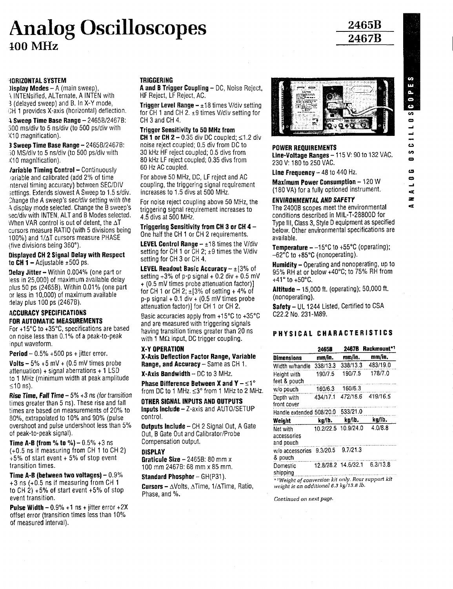# Analog Oscilloscopes 100 MHz

HORIZONTAL SYSTEM

**Jisplay Modes - A** (main sweep), a INTENsified, ALTernate, A INTEN with 3 (delayed sweep) and B. In X-Y mode, CH 1 provides X-axis (horizontal) deflection.

 $\lambda$  Sweep Time Base Range - 2465B/2467B: 300 ms/div to 5 ns/div (to 500 ps/div with X10 magnification) .

 $3$  Sweep Time Base Range  $-2465B/2467B$ : }0 MS/div to 5 ns/div (to 500 ps/div with X10 magnification) .

Jariable Timing Control - Continuously variable and calibrated (add 2% of time Interval timing accuracy) between SEC/DIV settings. Extends slowest A Sweep to 1.5 s/div. Change the A sweep's sec/div setting with the A display mode selected . Change the B sweep's sec/div with INTEN, ALT and B Modes selected. When VAR control is out of detent, the  $\Delta T$ cursors measure RATIO (with 5 divisions being 100%) and 1/AT cursors measure PHASE (five divisions being 360°) .

#### Displayed CH 2 Signal Delay with Respect to CH 1 - Adjustable  $\pm 500$  ps.

Delay Jitter - Within 0.004% (one part or less in 25,000) of maximum available delay plus 50 ps (2465B) . Within 0 .01 % (one part or less in 10,000) of maximum available delay plus 100 ps (2467B) .

#### ACCURACY SPECIFICATIONS FOR AUTOMATIC MEASUREMENTS

**Pulse Width - 0.9% +1 ns + jitter error +2X** offset error (transition times less than 10% of measured interval) .

#### **TRIGGERING**

A and B Trigger Coupling - DC, Noise Reject, HF Reject, LF Reject, AC .

**Trigger Level Range -**  $\pm 18$  **times V/div setting** for CH 1 and CH 2. ±9 times V/div setting for CH<sub>3</sub> and CH<sub>4</sub>.

#### Trigger Sensitivity to 50 MHz from

CH 1 or CH  $2 - 0.35$  div DC coupled;  $\leq 1.2$  div noise reject coupled; 0.5 div from DC to 30 kHz HF reject coupled; 0.5 divs from 80 kHz LF reject coupled; 0.35 divs from 60 Hz AC coupled .

For above 50 MHz, DC, LF reject and AC coupling, the triggering signal requirement increases to 1.5 divs at 500 MHz.

For noise reject coupling above 50 MHz, the triggering signal requirement increases to 4 .5 divs at 500 MHz .

#### Triggering Sensitivity from CH 3 or CH 4 - One half the CH 1 or CH 2 requirements.

**LEVEL Control Range -**  $\pm 18$  **times the V/div** setting for CH 1 or CH 2;  $\pm$ 9 times the V/div setting for CH 3 or CH 4 .

**LEVEL Readout Basic Accuracy -**  $\pm$ **[3% of** setting  $+3\%$  of p-p signal  $+0.2$  div  $+0.5$  mV + (0 .5 mV times probe attenuation factor)] for CH 1 or CH 2;  $\pm$ [3% of setting + 4% of  $p-p$  signal  $+$  0.1 div  $+$  (0.5 mV times probe attenuation factor)] for CH 1 or CH 2 .

#### X-Y OPERATION

#### DISPLAY

#### POWER REQUIREMENTS

 $L$ ine-voltage Kanges – 115 V; 90 to 132 VAC. 230 V: 180 to 250 VAC.

Line Frequency  $-48$  to  $440$  Hz.

Maximum Power Consumption - 120 W (180 VA) for a fully optioned instrument.

#### ENVIRONMENTAL AND SAFETY

The 24008 scopes meet the environmental conditions described in MIL-T-28800D for Type 111, Class 3, Style D equipment as specified below . Other environmental specifications are available .

**Temperature --15°C to +55°C (operating);** -62°C to +85°C (nonoperating) .

Humidity - Operating and nonoperating, up to 95% RH at or below +40°C ; to 75% RH from  $+41^{\circ}$  to  $+50^{\circ}$ C.

**Altitude - 15,000 ft.** (operating); 50,000 ft. (nonoperating) .

#### PHYSICAL CHARACTERISTICS

| pius ou pa (zhoob), vrilliin v.v.i /s (ond part<br>or less in 10,000) of maximum available<br>delay plus 100 ps (2467B).                                                                           | for CH 1 or CH 2; $\pm$ [3% of setting + 4% of<br>$p-p$ signal + 0.1 div + (0.5 mV times probe<br>attenuation factor)] for CH 1 or CH 2.                                                                  | <b>Altitude – 15.000 ft. (operating), 30,000 ft.</b><br>(nonoperating).<br>Safety - UL 1244 Listed, Certified to CSA                |          |                     |                   |
|----------------------------------------------------------------------------------------------------------------------------------------------------------------------------------------------------|-----------------------------------------------------------------------------------------------------------------------------------------------------------------------------------------------------------|-------------------------------------------------------------------------------------------------------------------------------------|----------|---------------------|-------------------|
| <b>ACCURACY SPECIFICATIONS</b><br>FOR AUTOMATIC MEASUREMENTS<br>For +15°C to +35°C, specifications are based<br>on noise less than 0.1% of a peak-to-peak                                          | Basic accuracies apply from $+15^{\circ}$ C to $+35^{\circ}$ C<br>and are measured with triggering signals<br>having transition times greater than 20 ns.<br>with 1 $M\Omega$ input, DC trigger coupling. | C22.2 No. 231-M89.<br>PHYSICAL CHARACTERISTICS                                                                                      |          |                     |                   |
| input waveform.                                                                                                                                                                                    | X-Y OPERATION                                                                                                                                                                                             |                                                                                                                                     | 2465B    |                     | 2467B Rackmount*1 |
| <b>Period</b> $-0.5\% + 500$ ps + jitter error.                                                                                                                                                    | <b>X-Axis Beflection Factor Range, Variable</b>                                                                                                                                                           | <b>Dimensions</b>                                                                                                                   | mm/in.   | mm/in.              | mm/in.            |
| <b>Volts –</b> 5% $+5$ mV $+$ (0.5 mV times probe                                                                                                                                                  | <b>Range, and Accuracy - Same as CH 1.</b>                                                                                                                                                                | Width w/handle                                                                                                                      | 338/13.3 | 338/13.3            | 483/19.0          |
| attenuation) + signal aberrations + $1$ LSD<br>to 1 MHz (minimum width at peak amplitude                                                                                                           | <b>X-Axis Bandwidth - DC to 3 MHz.</b><br>Phase Difference Between X and Y $- \leq 1^{\circ}$                                                                                                             | Height with<br>feet & pouch                                                                                                         | 190/7.5  | 190/7.5             | 178/7.0           |
| $\leq 10$ ns).                                                                                                                                                                                     | from DC to 1 MHz. ≤3° from 1 MHz to 2 MHz.                                                                                                                                                                | w/o pouch                                                                                                                           | 160/6.3  | 160/6.3             |                   |
| <b>Rise Time, Fall Time –</b> 5% $+3$ ns (for transition<br>times greater than 5 ns). These rise and fall<br>times are based on measurements of 20% to<br>80%, extrapolated to 10% and 90% (pulse) | OTHER SIGNAL INPUTS AND OUTPUTS                                                                                                                                                                           | Depth with<br>front cover                                                                                                           | 434/17.1 |                     | 472/18.6 419/16.5 |
|                                                                                                                                                                                                    | Inputs Include $-$ Z-axis and AUTO/SETUP<br>control.                                                                                                                                                      | Handle extended 508/20.0 533/21.0                                                                                                   |          |                     |                   |
|                                                                                                                                                                                                    |                                                                                                                                                                                                           | Weight                                                                                                                              | kg/lb.   | kg/lb.              | kg/lb.            |
| overshoot and pulse undershoot less than 5%<br>of peak-to-peak signal).<br><b>Time A-B (from % to %) – 0.5% +3 ns</b>                                                                              | Outputs Include - CH 2 Signal Out, A Gate<br>Out, B Gate Out and Calibrator/Probe<br>Compensation output.                                                                                                 | Net with<br>accessories<br>and pouch                                                                                                |          | 10.2/22.5 10.9/24.0 | 4.0/8.8           |
| (+0.5 ns if measuring from CH 1 to CH 2)<br>$+5%$ of start event $+5%$ of stop event                                                                                                               | <b>BISPLAY</b><br>Graticule Size $-2465B$ : 80 mm x                                                                                                                                                       | w/o accessories 9.3/20.5 9.7/21.3<br>& pouch                                                                                        |          |                     |                   |
| transition times.                                                                                                                                                                                  | 100 mm 2467B: 68 mm x 85 mm.                                                                                                                                                                              | Domestic                                                                                                                            |          | 12.8/28.2 14.6/32.1 | 6.3/13.8          |
| Time A-B (between two voltages) $-0.9\%$<br>$+3$ ns ( $+0.5$ ns if measuring from CH 1<br>to CH 2) $+5\%$ of start event $+5\%$ of stop<br>event transition.                                       | <b>Standard Phosphor</b> $- GH(P31)$ .<br><b>Cursors - AVolts, ATime, 1/ATime, Ratio,</b><br>Phase, and %.                                                                                                | shipping<br>*1Weight of conversion kit only. Rear support kit<br>weight is an additional 6.3 kg/13.8 lb.<br>Continued on next page. |          |                     |                   |
| <b>Pulse Width - 0.9% +1 ns + jitter error +2X</b><br>atta at a con Universities there been there if ODI.                                                                                          |                                                                                                                                                                                                           |                                                                                                                                     |          |                     |                   |

## 2465B 2467B